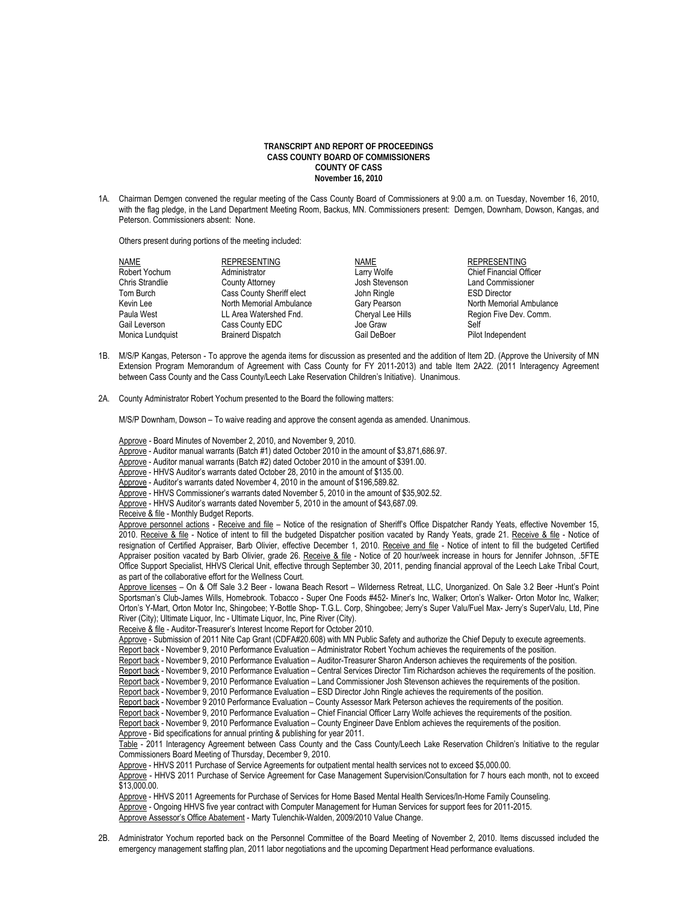## **TRANSCRIPT AND REPORT OF PROCEEDINGS CASS COUNTY BOARD OF COMMISSIONERS COUNTY OF CASS November 16, 2010**

1A. Chairman Demgen convened the regular meeting of the Cass County Board of Commissioners at 9:00 a.m. on Tuesday, November 16, 2010, with the flag pledge, in the Land Department Meeting Room, Backus, MN. Commissioners present: Demgen, Downham, Dowson, Kangas, and Peterson. Commissioners absent: None.

Others present during portions of the meeting included:

| <b>NAME</b>      | <b>REPRESENTING</b>       | <b>NAME</b>       | <b>REPRESENTING</b>            |
|------------------|---------------------------|-------------------|--------------------------------|
| Robert Yochum    | Administrator             | Larry Wolfe       | <b>Chief Financial Officer</b> |
| Chris Strandlie  | <b>County Attorney</b>    | Josh Stevenson    | <b>Land Commissioner</b>       |
| Tom Burch        | Cass County Sheriff elect | John Ringle       | <b>ESD Director</b>            |
| Kevin Lee        | North Memorial Ambulance  | Gary Pearson      | North Memorial Ambulance       |
| Paula West       | LL Area Watershed Fnd.    | Cheryal Lee Hills | Region Five Dev. Comm.         |
| Gail Leverson    | Cass County EDC           | Joe Graw          | Self                           |
| Monica Lundquist | <b>Brainerd Dispatch</b>  | Gail DeBoer       | Pilot Independent              |

- 1B. M/S/P Kangas, Peterson To approve the agenda items for discussion as presented and the addition of Item 2D. (Approve the University of MN Extension Program Memorandum of Agreement with Cass County for FY 2011-2013) and table Item 2A22. (2011 Interagency Agreement between Cass County and the Cass County/Leech Lake Reservation Children's Initiative). Unanimous.
- 2A. County Administrator Robert Yochum presented to the Board the following matters:

M/S/P Downham, Dowson – To waive reading and approve the consent agenda as amended. Unanimous.

 Approve - Board Minutes of November 2, 2010, and November 9, 2010. Approve - Auditor manual warrants (Batch #1) dated October 2010 in the amount of \$3,871,686.97. Approve - Auditor manual warrants (Batch #2) dated October 2010 in the amount of \$391.00. Approve - HHVS Auditor's warrants dated October 28, 2010 in the amount of \$135.00. Approve - Auditor's warrants dated November 4, 2010 in the amount of \$196,589.82. Approve - HHVS Commissioner's warrants dated November 5, 2010 in the amount of \$35,902.52. Approve - HHVS Auditor's warrants dated November 5, 2010 in the amount of \$43,687.09. Receive & file - Monthly Budget Reports. Approve personnel actions - Receive and file - Notice of the resignation of Sheriff's Office Dispatcher Randy Yeats, effective November 15, 2010. Receive & file - Notice of intent to fill the budgeted Dispatcher position vacated by Randy Yeats, grade 21. Receive & file - Notice of resignation of Certified Appraiser, Barb Olivier, effective December 1, 2010. Receive and file - Notice of intent to fill the budgeted Certified Appraiser position vacated by Barb Olivier, grade 26. Receive & file - Notice of 20 hour/week increase in hours for Jennifer Johnson, .5FTE Office Support Specialist, HHVS Clerical Unit, effective through September 30, 2011, pending financial approval of the Leech Lake Tribal Court, as part of the collaborative effort for the Wellness Court. Approve licenses – On & Off Sale 3.2 Beer - Iowana Beach Resort – Wilderness Retreat, LLC, Unorganized. On Sale 3.2 Beer -Hunt's Point Sportsman's Club-James Wills, Homebrook. Tobacco - Super One Foods #452- Miner's Inc, Walker; Orton's Walker- Orton Motor Inc, Walker; Orton's Y-Mart, Orton Motor Inc, Shingobee; Y-Bottle Shop- T.G.L. Corp, Shingobee; Jerry's Super Valu/Fuel Max- Jerry's SuperValu, Ltd, Pine River (City); Ultimate Liquor, Inc - Ultimate Liquor, Inc, Pine River (City). Receive & file - Auditor-Treasurer's Interest Income Report for October 2010. Approve - Submission of 2011 Nite Cap Grant (CDFA#20.608) with MN Public Safety and authorize the Chief Deputy to execute agreements. Report back - November 9, 2010 Performance Evaluation – Administrator Robert Yochum achieves the requirements of the position. Report back - November 9, 2010 Performance Evaluation – Auditor-Treasurer Sharon Anderson achieves the requirements of the position. Report back - November 9, 2010 Performance Evaluation – Central Services Director Tim Richardson achieves the requirements of the position. Report back - November 9, 2010 Performance Evaluation – Land Commissioner Josh Stevenson achieves the requirements of the position. Report back - November 9, 2010 Performance Evaluation – ESD Director John Ringle achieves the requirements of the position. Report back - November 9 2010 Performance Evaluation – County Assessor Mark Peterson achieves the requirements of the position. Report back - November 9, 2010 Performance Evaluation – Chief Financial Officer Larry Wolfe achieves the requirements of the position. Report back - November 9, 2010 Performance Evaluation – County Engineer Dave Enblom achieves the requirements of the position. Approve - Bid specifications for annual printing & publishing for year 2011. Table - 2011 Interagency Agreement between Cass County and the Cass County/Leech Lake Reservation Children's Initiative to the regular Commissioners Board Meeting of Thursday, December 9, 2010. Approve - HHVS 2011 Purchase of Service Agreements for outpatient mental health services not to exceed \$5,000.00. Approve - HHVS 2011 Purchase of Service Agreement for Case Management Supervision/Consultation for 7 hours each month, not to exceed \$13,000.00. Approve - HHVS 2011 Agreements for Purchase of Services for Home Based Mental Health Services/In-Home Family Counseling. Approve - Ongoing HHVS five year contract with Computer Management for Human Services for support fees for 2011-2015. Approve Assessor's Office Abatement - Marty Tulenchik-Walden, 2009/2010 Value Change.

2B. Administrator Yochum reported back on the Personnel Committee of the Board Meeting of November 2, 2010. Items discussed included the emergency management staffing plan, 2011 labor negotiations and the upcoming Department Head performance evaluations.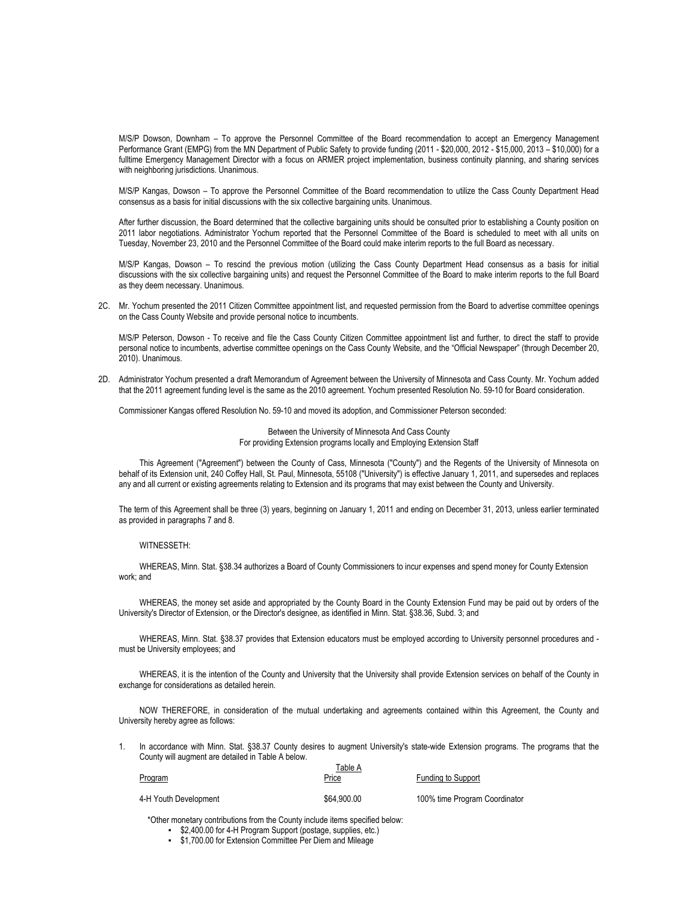M/S/P Dowson, Downham – To approve the Personnel Committee of the Board recommendation to accept an Emergency Management Performance Grant (EMPG) from the MN Department of Public Safety to provide funding (2011 - \$20,000, 2012 - \$15,000, 2013 – \$10,000) for a fulltime Emergency Management Director with a focus on ARMER project implementation, business continuity planning, and sharing services with neighboring jurisdictions. Unanimous.

 M/S/P Kangas, Dowson – To approve the Personnel Committee of the Board recommendation to utilize the Cass County Department Head consensus as a basis for initial discussions with the six collective bargaining units. Unanimous.

 After further discussion, the Board determined that the collective bargaining units should be consulted prior to establishing a County position on 2011 labor negotiations. Administrator Yochum reported that the Personnel Committee of the Board is scheduled to meet with all units on Tuesday, November 23, 2010 and the Personnel Committee of the Board could make interim reports to the full Board as necessary.

 M/S/P Kangas, Dowson – To rescind the previous motion (utilizing the Cass County Department Head consensus as a basis for initial discussions with the six collective bargaining units) and request the Personnel Committee of the Board to make interim reports to the full Board as they deem necessary. Unanimous.

2C. Mr. Yochum presented the 2011 Citizen Committee appointment list, and requested permission from the Board to advertise committee openings on the Cass County Website and provide personal notice to incumbents.

M/S/P Peterson, Dowson - To receive and file the Cass County Citizen Committee appointment list and further, to direct the staff to provide personal notice to incumbents, advertise committee openings on the Cass County Website, and the "Official Newspaper" (through December 20, 2010). Unanimous.

2D. Administrator Yochum presented a draft Memorandum of Agreement between the University of Minnesota and Cass County. Mr. Yochum added that the 2011 agreement funding level is the same as the 2010 agreement. Yochum presented Resolution No. 59-10 for Board consideration.

Commissioner Kangas offered Resolution No. 59-10 and moved its adoption, and Commissioner Peterson seconded:

Between the University of Minnesota And Cass County For providing Extension programs locally and Employing Extension Staff

This Agreement ("Agreement") between the County of Cass, Minnesota ("County") and the Regents of the University of Minnesota on behalf of its Extension unit, 240 Coffey Hall, St. Paul, Minnesota, 55108 ("University") is effective January 1, 2011, and supersedes and replaces any and all current or existing agreements relating to Extension and its programs that may exist between the County and University.

The term of this Agreement shall be three (3) years, beginning on January 1, 2011 and ending on December 31, 2013, unless earlier terminated as provided in paragraphs 7 and 8.

## WITNESSETH:

WHEREAS, Minn. Stat. §38.34 authorizes a Board of County Commissioners to incur expenses and spend money for County Extension work; and

WHEREAS, the money set aside and appropriated by the County Board in the County Extension Fund may be paid out by orders of the University's Director of Extension, or the Director's designee, as identified in Minn. Stat. §38.36, Subd. 3; and

WHEREAS, Minn. Stat. §38.37 provides that Extension educators must be employed according to University personnel procedures and must be University employees; and

WHEREAS, it is the intention of the County and University that the University shall provide Extension services on behalf of the County in exchange for considerations as detailed herein.

NOW THEREFORE, in consideration of the mutual undertaking and agreements contained within this Agreement, the County and University hereby agree as follows:

1. In accordance with Minn. Stat. §38.37 County desires to augment University's state-wide Extension programs. The programs that the County will augment are detailed in Table A below.  $\overline{1}$   $\overline{1}$   $\overline{1}$   $\overline{1}$ 

| Program               | i able A<br><u>Price</u> | Funding to Support            |
|-----------------------|--------------------------|-------------------------------|
| 4-H Youth Development | \$64,900.00              | 100% time Program Coordinator |

\*Other monetary contributions from the County include items specified below:

- \$2,400.00 for 4-H Program Support (postage, supplies, etc.)
- \$1,700.00 for Extension Committee Per Diem and Mileage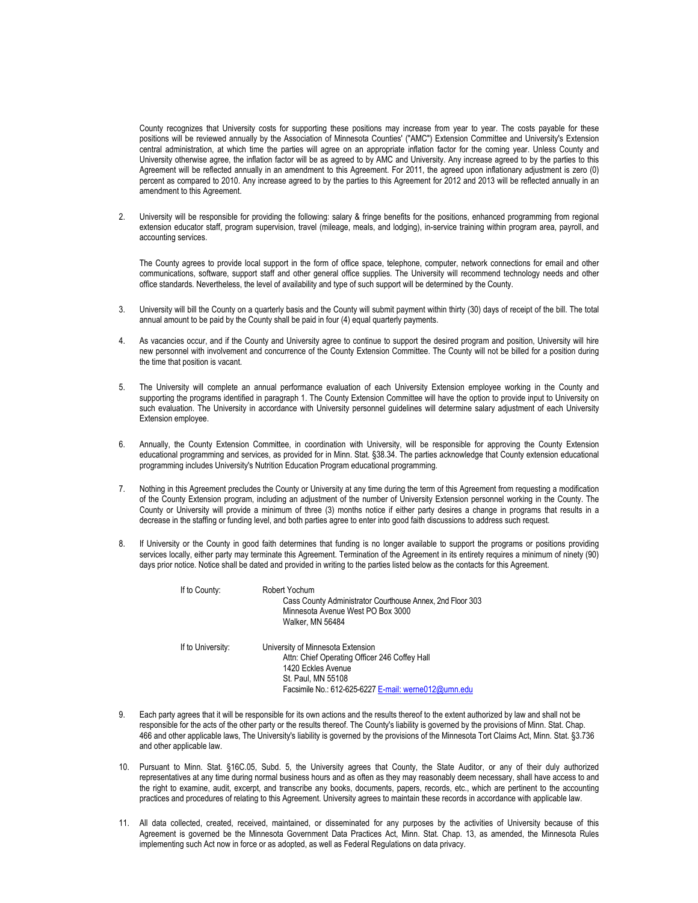County recognizes that University costs for supporting these positions may increase from year to year. The costs payable for these positions will be reviewed annually by the Association of Minnesota Counties' ("AMC") Extension Committee and University's Extension central administration, at which time the parties will agree on an appropriate inflation factor for the coming year. Unless County and University otherwise agree, the inflation factor will be as agreed to by AMC and University. Any increase agreed to by the parties to this Agreement will be reflected annually in an amendment to this Agreement. For 2011, the agreed upon inflationary adjustment is zero (0) percent as compared to 2010. Any increase agreed to by the parties to this Agreement for 2012 and 2013 will be reflected annually in an amendment to this Agreement.

2. University will be responsible for providing the following: salary & fringe benefits for the positions, enhanced programming from regional extension educator staff, program supervision, travel (mileage, meals, and lodging), in-service training within program area, payroll, and accounting services.

The County agrees to provide local support in the form of office space, telephone, computer, network connections for email and other communications, software, support staff and other general office supplies. The University will recommend technology needs and other office standards. Nevertheless, the level of availability and type of such support will be determined by the County.

- 3. University will bill the County on a quarterly basis and the County will submit payment within thirty (30) days of receipt of the bill. The total annual amount to be paid by the County shall be paid in four (4) equal quarterly payments.
- 4. As vacancies occur, and if the County and University agree to continue to support the desired program and position, University will hire new personnel with involvement and concurrence of the County Extension Committee. The County will not be billed for a position during the time that position is vacant.
- 5. The University will complete an annual performance evaluation of each University Extension employee working in the County and supporting the programs identified in paragraph 1. The County Extension Committee will have the option to provide input to University on such evaluation. The University in accordance with University personnel guidelines will determine salary adjustment of each University Extension employee.
- 6. Annually, the County Extension Committee, in coordination with University, will be responsible for approving the County Extension educational programming and services, as provided for in Minn. Stat. §38.34. The parties acknowledge that County extension educational programming includes University's Nutrition Education Program educational programming.
- 7. Nothing in this Agreement precludes the County or University at any time during the term of this Agreement from requesting a modification of the County Extension program, including an adjustment of the number of University Extension personnel working in the County. The County or University will provide a minimum of three (3) months notice if either party desires a change in programs that results in a decrease in the staffing or funding level, and both parties agree to enter into good faith discussions to address such request.
- 8. If University or the County in good faith determines that funding is no longer available to support the programs or positions providing services locally, either party may terminate this Agreement. Termination of the Agreement in its entirety requires a minimum of ninety (90) days prior notice. Notice shall be dated and provided in writing to the parties listed below as the contacts for this Agreement.

| If to County:     | Robert Yochum<br>Cass County Administrator Courthouse Annex, 2nd Floor 303<br>Minnesota Avenue West PO Box 3000<br>Walker, MN 56484                                                    |
|-------------------|----------------------------------------------------------------------------------------------------------------------------------------------------------------------------------------|
| If to University: | University of Minnesota Extension<br>Attn: Chief Operating Officer 246 Coffey Hall<br>1420 Eckles Avenue<br>St. Paul, MN 55108<br>Facsimile No.: 612-625-6227 E-mail: werne012@umn.edu |

- 9. Each party agrees that it will be responsible for its own actions and the results thereof to the extent authorized by law and shall not be responsible for the acts of the other party or the results thereof. The County's liability is governed by the provisions of Minn. Stat. Chap. 466 and other applicable laws, The University's liability is governed by the provisions of the Minnesota Tort Claims Act, Minn. Stat. §3.736 and other applicable law.
- 10. Pursuant to Minn. Stat. §16C.05, Subd. 5, the University agrees that County, the State Auditor, or any of their duly authorized representatives at any time during normal business hours and as often as they may reasonably deem necessary, shall have access to and the right to examine, audit, excerpt, and transcribe any books, documents, papers, records, etc., which are pertinent to the accounting practices and procedures of relating to this Agreement. University agrees to maintain these records in accordance with applicable law.
- 11. All data collected, created, received, maintained, or disseminated for any purposes by the activities of University because of this Agreement is governed be the Minnesota Government Data Practices Act, Minn. Stat. Chap. 13, as amended, the Minnesota Rules implementing such Act now in force or as adopted, as well as Federal Regulations on data privacy.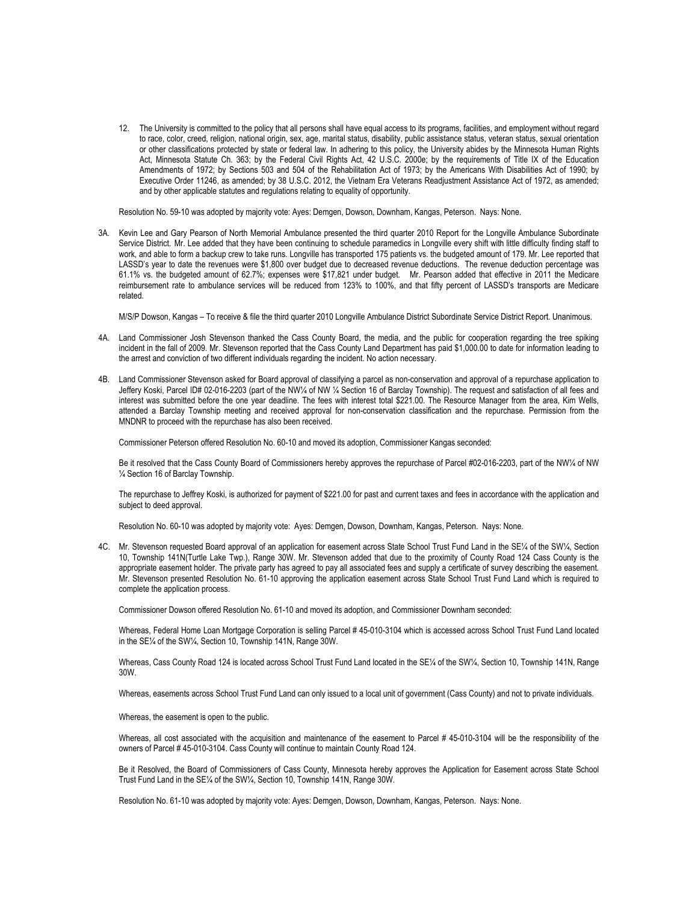12. The University is committed to the policy that all persons shall have equal access to its programs, facilities, and employment without regard to race, color, creed, religion, national origin, sex, age, marital status, disability, public assistance status, veteran status, sexual orientation or other classifications protected by state or federal law. In adhering to this policy, the University abides by the Minnesota Human Rights Act, Minnesota Statute Ch. 363; by the Federal Civil Rights Act, 42 U.S.C. 2000e; by the requirements of Title IX of the Education Amendments of 1972; by Sections 503 and 504 of the Rehabilitation Act of 1973; by the Americans With Disabilities Act of 1990; by Executive Order 11246, as amended; by 38 U.S.C. 2012, the Vietnam Era Veterans Readjustment Assistance Act of 1972, as amended; and by other applicable statutes and regulations relating to equality of opportunity.

Resolution No. 59-10 was adopted by majority vote: Ayes: Demgen, Dowson, Downham, Kangas, Peterson. Nays: None.

3A. Kevin Lee and Gary Pearson of North Memorial Ambulance presented the third quarter 2010 Report for the Longville Ambulance Subordinate Service District. Mr. Lee added that they have been continuing to schedule paramedics in Longville every shift with little difficulty finding staff to work, and able to form a backup crew to take runs. Longville has transported 175 patients vs. the budgeted amount of 179. Mr. Lee reported that LASSD's year to date the revenues were \$1,800 over budget due to decreased revenue deductions. The revenue deduction percentage was 61.1% vs. the budgeted amount of 62.7%; expenses were \$17,821 under budget. Mr. Pearson added that effective in 2011 the Medicare reimbursement rate to ambulance services will be reduced from 123% to 100%, and that fifty percent of LASSD's transports are Medicare related.

M/S/P Dowson, Kangas – To receive & file the third quarter 2010 Longville Ambulance District Subordinate Service District Report. Unanimous.

- 4A. Land Commissioner Josh Stevenson thanked the Cass County Board, the media, and the public for cooperation regarding the tree spiking incident in the fall of 2009. Mr. Stevenson reported that the Cass County Land Department has paid \$1,000.00 to date for information leading to the arrest and conviction of two different individuals regarding the incident. No action necessary.
- 4B. Land Commissioner Stevenson asked for Board approval of classifying a parcel as non-conservation and approval of a repurchase application to Jeffery Koski, Parcel ID# 02-016-2203 (part of the NW¼ of NW ¼ Section 16 of Barclay Township). The request and satisfaction of all fees and interest was submitted before the one year deadline. The fees with interest total \$221.00. The Resource Manager from the area, Kim Wells, attended a Barclay Township meeting and received approval for non-conservation classification and the repurchase. Permission from the MNDNR to proceed with the repurchase has also been received.

Commissioner Peterson offered Resolution No. 60-10 and moved its adoption, Commissioner Kangas seconded:

Be it resolved that the Cass County Board of Commissioners hereby approves the repurchase of Parcel #02-016-2203, part of the NW¼ of NW ¼ Section 16 of Barclay Township.

The repurchase to Jeffrey Koski, is authorized for payment of \$221.00 for past and current taxes and fees in accordance with the application and subject to deed approval.

Resolution No. 60-10 was adopted by majority vote: Ayes: Demgen, Dowson, Downham, Kangas, Peterson. Nays: None.

4C. Mr. Stevenson requested Board approval of an application for easement across State School Trust Fund Land in the SE¼ of the SW¼, Section 10, Township 141N(Turtle Lake Twp.), Range 30W. Mr. Stevenson added that due to the proximity of County Road 124 Cass County is the appropriate easement holder. The private party has agreed to pay all associated fees and supply a certificate of survey describing the easement. Mr. Stevenson presented Resolution No. 61-10 approving the application easement across State School Trust Fund Land which is required to complete the application process.

Commissioner Dowson offered Resolution No. 61-10 and moved its adoption, and Commissioner Downham seconded:

Whereas, Federal Home Loan Mortgage Corporation is selling Parcel # 45-010-3104 which is accessed across School Trust Fund Land located in the SE¼ of the SW¼, Section 10, Township 141N, Range 30W.

Whereas, Cass County Road 124 is located across School Trust Fund Land located in the SE¼ of the SW¼, Section 10, Township 141N, Range 30W.

Whereas, easements across School Trust Fund Land can only issued to a local unit of government (Cass County) and not to private individuals.

Whereas, the easement is open to the public.

Whereas, all cost associated with the acquisition and maintenance of the easement to Parcel # 45-010-3104 will be the responsibility of the owners of Parcel # 45-010-3104. Cass County will continue to maintain County Road 124.

Be it Resolved, the Board of Commissioners of Cass County, Minnesota hereby approves the Application for Easement across State School Trust Fund Land in the SE¼ of the SW¼, Section 10, Township 141N, Range 30W.

Resolution No. 61-10 was adopted by majority vote: Ayes: Demgen, Dowson, Downham, Kangas, Peterson. Nays: None.